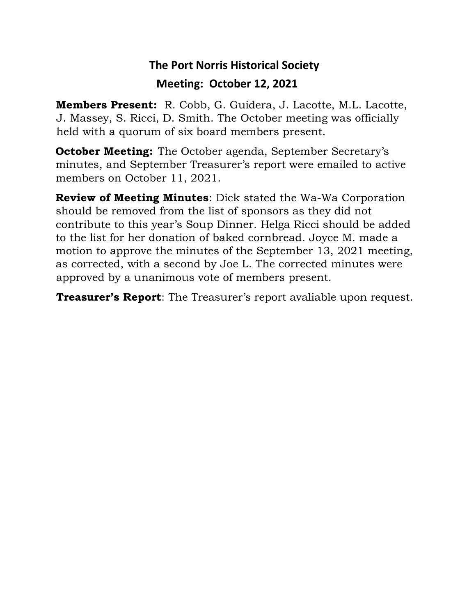## **The Port Norris Historical Society Meeting: October 12, 2021**

**Members Present:** R. Cobb, G. Guidera, J. Lacotte, M.L. Lacotte, J. Massey, S. Ricci, D. Smith. The October meeting was officially held with a quorum of six board members present.

**October Meeting:** The October agenda, September Secretary's minutes, and September Treasurer's report were emailed to active members on October 11, 2021.

**Review of Meeting Minutes**: Dick stated the Wa-Wa Corporation should be removed from the list of sponsors as they did not contribute to this year's Soup Dinner. Helga Ricci should be added to the list for her donation of baked cornbread. Joyce M. made a motion to approve the minutes of the September 13, 2021 meeting, as corrected, with a second by Joe L. The corrected minutes were approved by a unanimous vote of members present.

**Treasurer's Report**: The Treasurer's report avaliable upon request.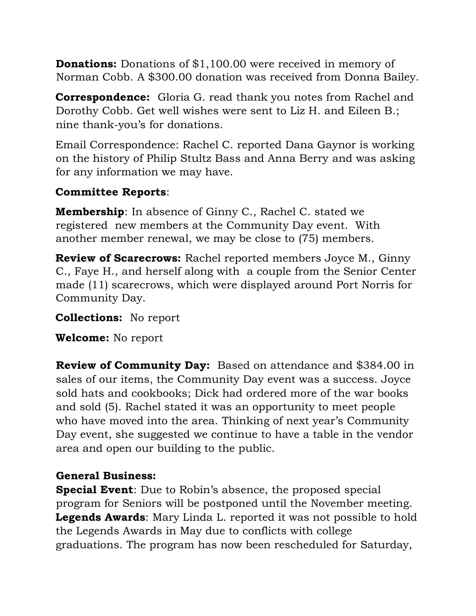**Donations:** Donations of \$1,100.00 were received in memory of Norman Cobb. A \$300.00 donation was received from Donna Bailey.

**Correspondence:** Gloria G. read thank you notes from Rachel and Dorothy Cobb. Get well wishes were sent to Liz H. and Eileen B.; nine thank-you's for donations.

Email Correspondence: Rachel C. reported Dana Gaynor is working on the history of Philip Stultz Bass and Anna Berry and was asking for any information we may have.

## **Committee Reports**:

**Membership**: In absence of Ginny C., Rachel C. stated we registered new members at the Community Day event. With another member renewal, we may be close to (75) members.

**Review of Scarecrows:** Rachel reported members Joyce M., Ginny C., Faye H., and herself along with a couple from the Senior Center made (11) scarecrows, which were displayed around Port Norris for Community Day.

**Collections:** No report

**Welcome:** No report

**Review of Community Day:** Based on attendance and \$384.00 in sales of our items, the Community Day event was a success. Joyce sold hats and cookbooks; Dick had ordered more of the war books and sold (5). Rachel stated it was an opportunity to meet people who have moved into the area. Thinking of next year's Community Day event, she suggested we continue to have a table in the vendor area and open our building to the public.

## **General Business:**

**Special Event**: Due to Robin's absence, the proposed special program for Seniors will be postponed until the November meeting. **Legends Awards**: Mary Linda L. reported it was not possible to hold the Legends Awards in May due to conflicts with college graduations. The program has now been rescheduled for Saturday,